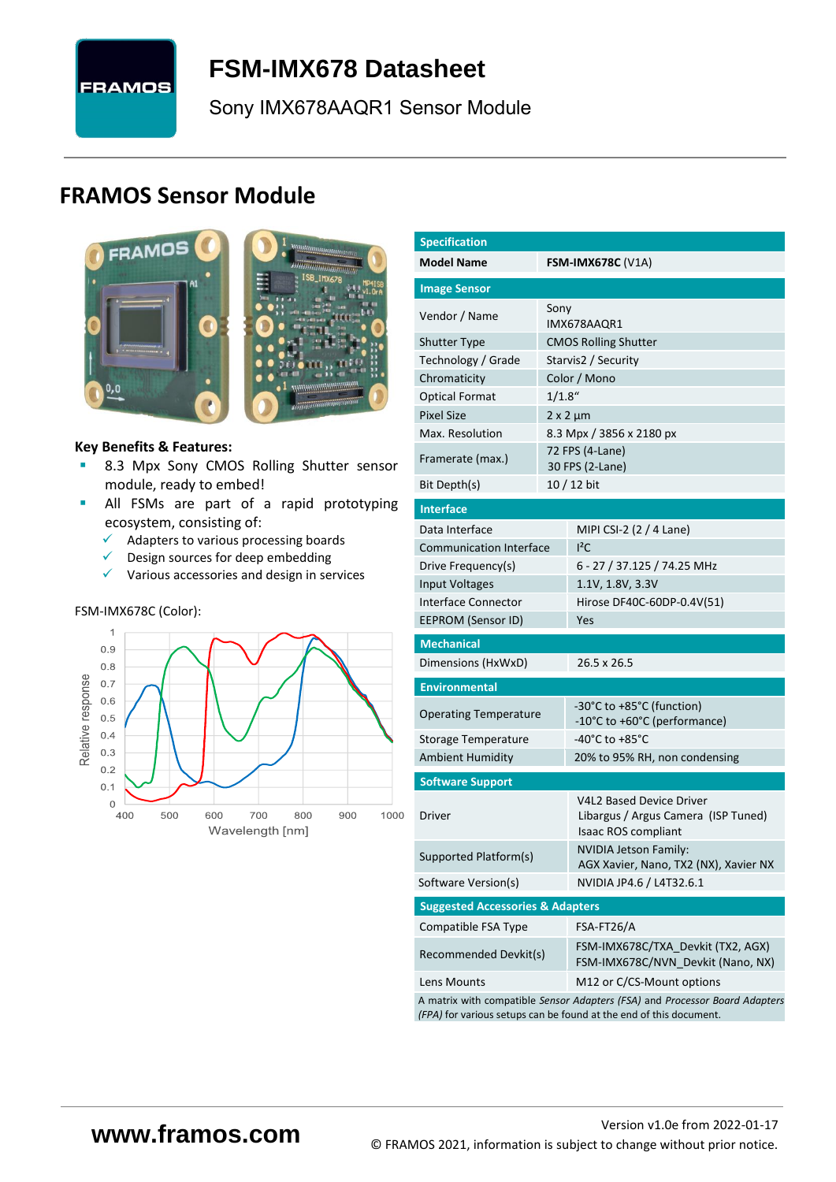

# <span id="page-0-7"></span>**FSM-IMX678 [Datasheet](#page-0-0)**

[Sony](#page-0-1) [IMX678AAQR1](#page-0-2) Sensor Module

# **FRAMOS Sensor Module**



<span id="page-0-3"></span><span id="page-0-0"></span>

#### **Key Benefits & Features:**

- **B.3 Mpx [Sony](#page-0-1) [CMOS Rolling Shutter](#page-0-5) sensor** module, ready to embed!
- **E** All FSMs are part of a rapid prototyping ecosystem, consisting of:
	- ✓ Adapters to various processing boards
	- ✓ Design sources for deep embedding
	- $\checkmark$  Various accessories and design in services

#### FSM-IMX678C (Color):



<span id="page-0-6"></span><span id="page-0-5"></span><span id="page-0-4"></span><span id="page-0-2"></span><span id="page-0-1"></span>

| <b>Specification</b>                        |           |                                                                                                                                                   |  |  |  |  |
|---------------------------------------------|-----------|---------------------------------------------------------------------------------------------------------------------------------------------------|--|--|--|--|
| <b>Model Name</b>                           |           | <b>FSM-IMX678C (V1A)</b>                                                                                                                          |  |  |  |  |
|                                             |           |                                                                                                                                                   |  |  |  |  |
| <b>Image Sensor</b>                         |           |                                                                                                                                                   |  |  |  |  |
| Vendor / Name                               | Sony      | IMX678AAQR1                                                                                                                                       |  |  |  |  |
| <b>Shutter Type</b>                         |           | <b>CMOS Rolling Shutter</b>                                                                                                                       |  |  |  |  |
| Technology / Grade                          |           | Starvis2 / Security                                                                                                                               |  |  |  |  |
| Chromaticity                                |           | Color / Mono                                                                                                                                      |  |  |  |  |
| <b>Optical Format</b>                       | $1/1.8$ " |                                                                                                                                                   |  |  |  |  |
| <b>Pixel Size</b>                           |           | $2 \times 2 \mu m$                                                                                                                                |  |  |  |  |
| Max. Resolution                             |           | 8.3 Mpx / 3856 x 2180 px                                                                                                                          |  |  |  |  |
| Framerate (max.)                            |           | 72 FPS (4-Lane)<br>30 FPS (2-Lane)                                                                                                                |  |  |  |  |
| Bit Depth(s)                                |           | 10 / 12 bit                                                                                                                                       |  |  |  |  |
| <b>Interface</b>                            |           |                                                                                                                                                   |  |  |  |  |
| Data Interface                              |           | MIPI CSI-2 (2 / 4 Lane)                                                                                                                           |  |  |  |  |
| <b>Communication Interface</b>              |           | $I^2C$                                                                                                                                            |  |  |  |  |
| Drive Frequency(s)                          |           | 6 - 27 / 37.125 / 74.25 MHz                                                                                                                       |  |  |  |  |
| <b>Input Voltages</b>                       |           | 1.1V, 1.8V, 3.3V                                                                                                                                  |  |  |  |  |
| Interface Connector                         |           | Hirose DF40C-60DP-0.4V(51)                                                                                                                        |  |  |  |  |
| <b>EEPROM (Sensor ID)</b>                   |           | Yes                                                                                                                                               |  |  |  |  |
| <b>Mechanical</b>                           |           |                                                                                                                                                   |  |  |  |  |
| Dimensions (HxWxD)                          |           | 26.5 x 26.5                                                                                                                                       |  |  |  |  |
| <b>Environmental</b>                        |           |                                                                                                                                                   |  |  |  |  |
| <b>Operating Temperature</b>                |           | -30°C to +85°C (function)<br>-10°C to +60°C (performance)                                                                                         |  |  |  |  |
| Storage Temperature                         |           | -40°C to +85°C                                                                                                                                    |  |  |  |  |
| <b>Ambient Humidity</b>                     |           | 20% to 95% RH, non condensing                                                                                                                     |  |  |  |  |
| <b>Software Support</b>                     |           |                                                                                                                                                   |  |  |  |  |
| Driver                                      |           | <b>V4L2 Based Device Driver</b><br>Libargus / Argus Camera (ISP Tuned)<br><b>Isaac ROS compliant</b>                                              |  |  |  |  |
| Supported Platform(s)                       |           | <b>NVIDIA Jetson Family:</b><br>AGX Xavier, Nano, TX2 (NX), Xavier NX                                                                             |  |  |  |  |
| Software Version(s)                         |           | NVIDIA JP4.6 / L4T32.6.1                                                                                                                          |  |  |  |  |
| <b>Suggested Accessories &amp; Adapters</b> |           |                                                                                                                                                   |  |  |  |  |
| Compatible FSA Type                         |           | FSA-FT26/A                                                                                                                                        |  |  |  |  |
| Recommended Devkit(s)                       |           | FSM-IMX678C/TXA_Devkit (TX2, AGX)<br>FSM-IMX678C/NVN_Devkit (Nano, NX)                                                                            |  |  |  |  |
| Lens Mounts                                 |           | M12 or C/CS-Mount options                                                                                                                         |  |  |  |  |
|                                             |           | A matrix with compatible Sensor Adapters (FSA) and Processor Board Adapters<br>(FPA) for various setups can be found at the end of this document. |  |  |  |  |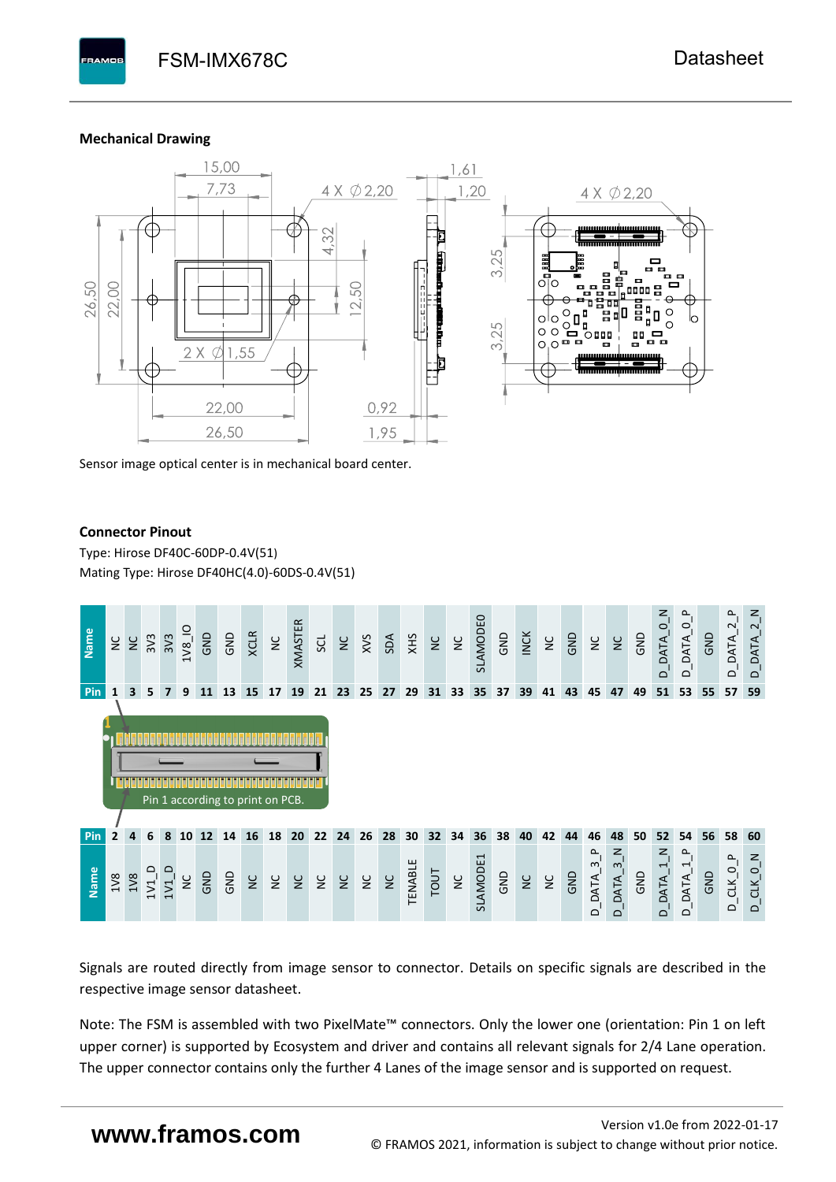#### **Mechanical Drawing**



Sensor image optical center is in mechanical board center.

#### **Connector Pinout**

Type: [Hirose DF40C-60DP-0.4V\(51](#page-0-6)[\)](#page-0-6)  Mating Type: Hirose DF40HC(4.0)-60DS-0.4V(51)



Signals are routed directly from image sensor to connector. Details on specific signals are described in the respective image sensor datasheet.

Note: The FSM is assembled with two PixelMate™ connectors. Only the lower one (orientation: Pin 1 on left upper corner) is supported by Ecosystem and driver and contains all relevant signals for 2/4 Lane operation. The upper connector contains only the further 4 Lanes of the image sensor and is supported on request.

# **www.framos.com**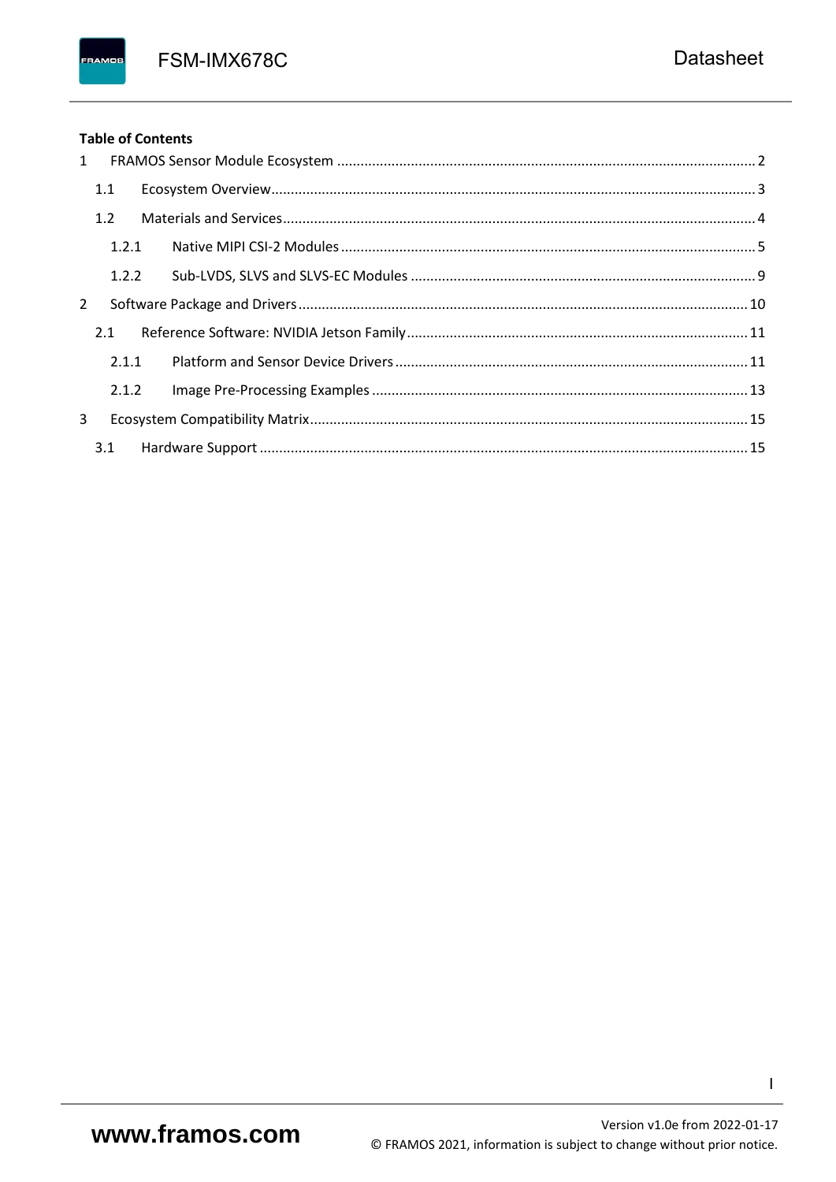FSM-IMX678C

## **Table of Contents**

FRAMOS

| 1 |       |  |
|---|-------|--|
|   | 1.1   |  |
|   | 1.2   |  |
|   | 1.2.1 |  |
|   | 1.2.2 |  |
| 2 |       |  |
|   | 2.1   |  |
|   | 2.1.1 |  |
|   | 2.1.2 |  |
| 3 |       |  |
|   |       |  |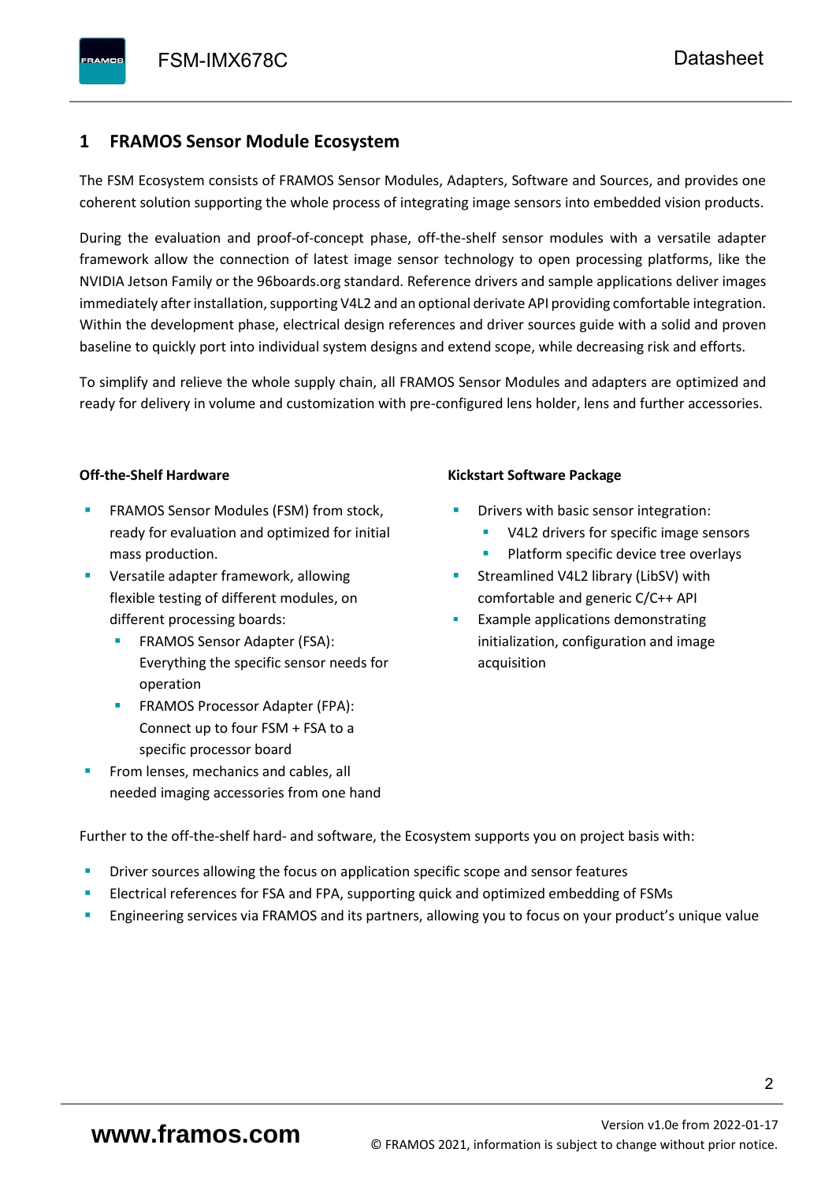# <span id="page-3-0"></span>**1 FRAMOS Sensor Module Ecosystem**

The FSM Ecosystem consists of FRAMOS Sensor Modules, Adapters, Software and Sources, and provides one coherent solution supporting the whole process of integrating image sensors into embedded vision products.

During the evaluation and proof-of-concept phase, off-the-shelf sensor modules with a versatile adapter framework allow the connection of latest image sensor technology to open processing platforms, like the NVIDIA Jetson Family or the 96boards.org standard. Reference drivers and sample applications deliver images immediately after installation, supporting V4L2 and an optional derivate API providing comfortable integration. Within the development phase, electrical design references and driver sources guide with a solid and proven baseline to quickly port into individual system designs and extend scope, while decreasing risk and efforts.

To simplify and relieve the whole supply chain, all FRAMOS Sensor Modules and adapters are optimized and ready for delivery in volume and customization with pre-configured lens holder, lens and further accessories.

#### **Off-the-Shelf Hardware**

- FRAMOS Sensor Modules (FSM) from stock, ready for evaluation and optimized for initial mass production.
- Versatile adapter framework, allowing flexible testing of different modules, on different processing boards:
	- FRAMOS Sensor Adapter (FSA): Everything the specific sensor needs for operation
	- FRAMOS Processor Adapter (FPA): Connect up to four FSM + FSA to a specific processor board
- From lenses, mechanics and cables, all needed imaging accessories from one hand

#### **Kickstart Software Package**

- Drivers with basic sensor integration:
	- V4L2 drivers for specific image sensors
	- Platform specific device tree overlays
- Streamlined V4L2 library (LibSV) with comfortable and generic C/C++ API
- Example applications demonstrating initialization, configuration and image acquisition

Further to the off-the-shelf hard- and software, the Ecosystem supports you on project basis with:

- Driver sources allowing the focus on application specific scope and sensor features
- Electrical references for FSA and FPA, supporting quick and optimized embedding of FSMs
- Engineering services via FRAMOS and its partners, allowing you to focus on your product's unique value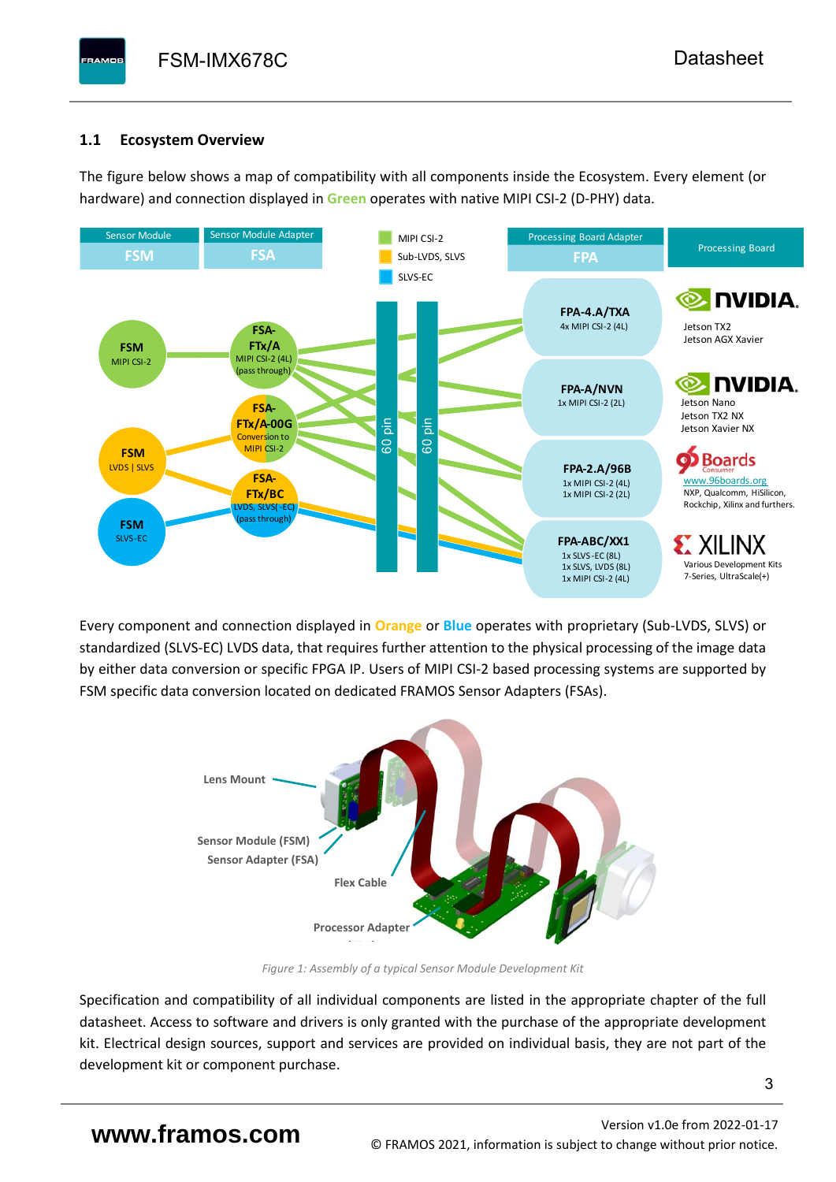# <span id="page-4-0"></span>**1.1 Ecosystem Overview**

**PAMOS** 

The figure below shows a map of compatibility with all components inside the Ecosystem. Every element (or hardware) and connection displayed in **Green** operates with native MIPI CSI-2 (D-PHY) data.



Every component and connection displayed in **Orange** or **Blue** operates with proprietary (Sub-LVDS, SLVS) or standardized (SLVS-EC) LVDS data, that requires further attention to the physical processing of the image data by either data conversion or specific FPGA IP. Users of MIPI CSI-2 based processing systems are supported by FSM specific data conversion located on dedicated FRAMOS Sensor Adapters (FSAs).



*Figure 1: Assembly of a typical Sensor Module Development Kit*

Specification and compatibility of all individual components are listed in the appropriate chapter of the full datasheet. Access to software and drivers is only granted with the purchase of the appropriate development kit. Electrical design sources, support and services are provided on individual basis, they are not part of the development kit or component purchase.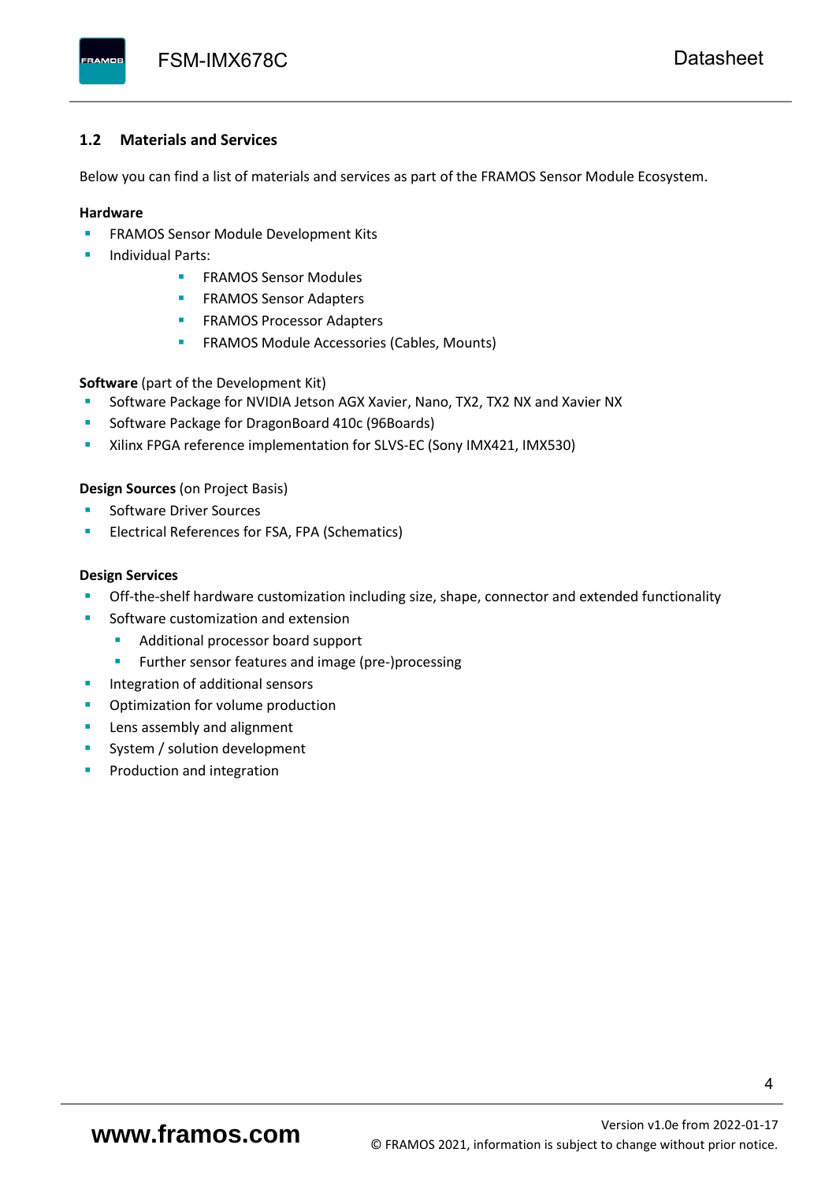#### <span id="page-5-0"></span>**1.2 Materials and Services**

Below you can find a list of materials and services as part of the FRAMOS Sensor Module Ecosystem.

#### **Hardware**

- **EXECTED FRAMOS Sensor Module Development Kits**
- **Individual Parts:** 
	- FRAMOS Sensor Modules
	- **FRAMOS Sensor Adapters**
	- **EXAMOS Processor Adapters**
	- **EXECTED** FRAMOS Module Accessories (Cables, Mounts)

**Software** (part of the Development Kit)

- Software Package for NVIDIA Jetson AGX Xavier, Nano, TX2, TX2 NX and Xavier NX
- Software Package for DragonBoard 410c (96Boards)
- Xilinx FPGA reference implementation for SLVS-EC (Sony IMX421, IMX530)

#### **Design Sources** (on Project Basis)

- Software Driver Sources
- Electrical References for FSA, FPA (Schematics)

#### **Design Services**

- Off-the-shelf hardware customization including size, shape, connector and extended functionality
- Software customization and extension
	- Additional processor board support
	- Further sensor features and image (pre-)processing
- **■** Integration of additional sensors
- Optimization for volume production
- Lens assembly and alignment
- System / solution development
- Production and integration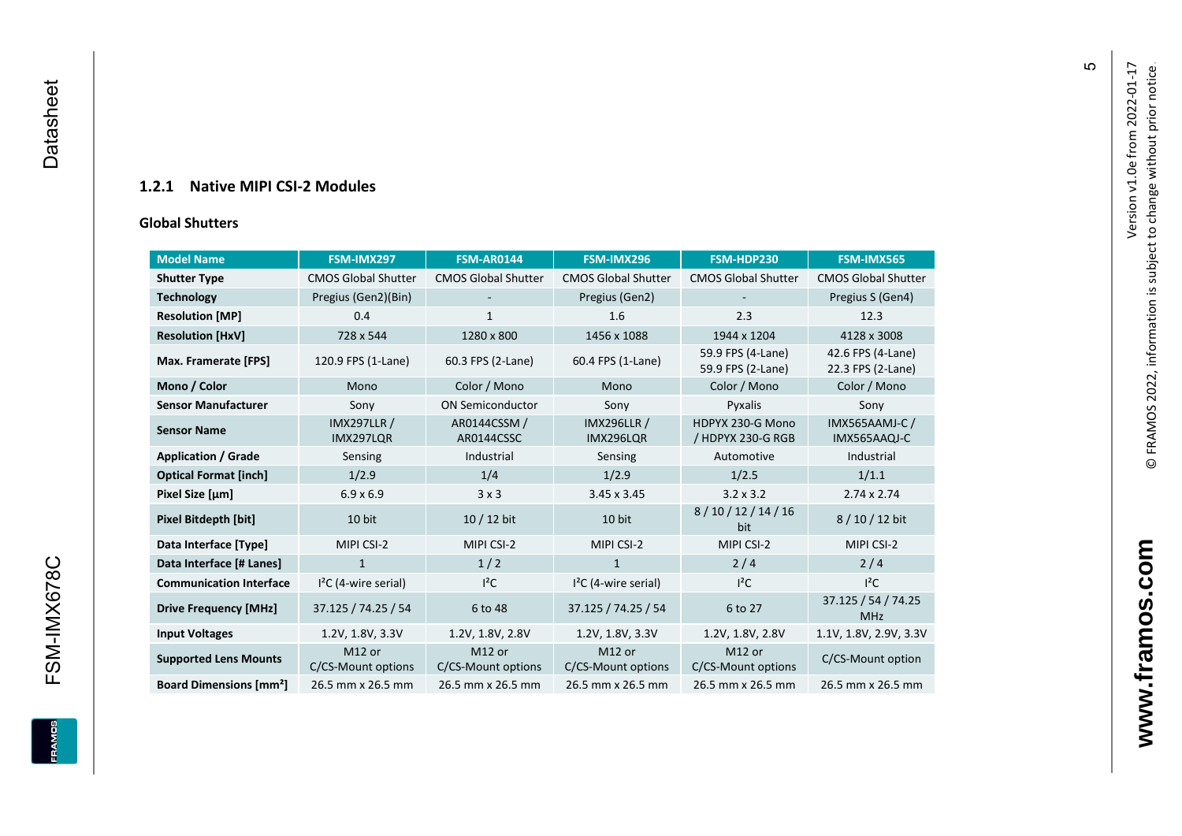### **1.2.1 Native MIPI CSI - 2 Modules**

#### **[Global Shu](#page-0-7)tters**

<span id="page-6-0"></span>

| <b>Model Name</b>                        | FSM-IMX297                      | <b>FSM-AR0144</b>            | FSM-IMX296                             | FSM-HDP230                             | <b>FSM-IMX565</b>                      |
|------------------------------------------|---------------------------------|------------------------------|----------------------------------------|----------------------------------------|----------------------------------------|
| <b>Shutter Type</b>                      | <b>CMOS Global Shutter</b>      | <b>CMOS Global Shutter</b>   | <b>CMOS Global Shutter</b>             | <b>CMOS Global Shutter</b>             | <b>CMOS Global Shutter</b>             |
| <b>Technology</b>                        | Pregius (Gen2)(Bin)             | ٠                            | Pregius (Gen2)                         |                                        | Pregius S (Gen4)                       |
| <b>Resolution [MP]</b>                   | 0.4                             | 1                            | 1.6                                    | 2.3                                    | 12.3                                   |
| <b>Resolution [HxV]</b>                  | 728 x 544                       | 1280 x 800                   | 1456 x 1088                            | 1944 x 1204                            | 4128 x 3008                            |
| Max. Framerate [FPS]                     | 120.9 FPS (1-Lane)              | 60.3 FPS (2-Lane)            | 60.4 FPS (1-Lane)                      | 59.9 FPS (4-Lane)<br>59.9 FPS (2-Lane) | 42.6 FPS (4-Lane)<br>22.3 FPS (2-Lane) |
| Mono / Color                             | Mono                            | Color / Mono                 | Mono                                   | Color / Mono                           | Color / Mono                           |
| <b>Sensor Manufacturer</b>               | Sony                            | <b>ON Semiconductor</b>      | Sony                                   | Pyxalis                                | Sony                                   |
| <b>Sensor Name</b>                       | <b>IMX297LLR /</b><br>IMX297LOR | AR0144CSSM /<br>AR0144CSSC   | <b>IMX296LLR /</b><br><b>IMX296LOR</b> | HDPYX 230-G Mono<br>/ HDPYX 230-G RGB  | <b>IMX565AAMJ-C/</b><br>IMX565AAQJ-C   |
| <b>Application / Grade</b>               | Sensing                         | Industrial                   | Sensing                                | Automotive                             | Industrial                             |
| <b>Optical Format [inch]</b>             | 1/2.9                           | 1/4                          | 1/2.9                                  | 1/2.5                                  | 1/1.1                                  |
| Pixel Size [µm]                          | $6.9 \times 6.9$                | 3x3                          | $3.45 \times 3.45$                     | $3.2 \times 3.2$                       | $2.74 \times 2.74$                     |
| <b>Pixel Bitdepth [bit]</b>              | 10 bit                          | 10 / 12 bit                  | 10 bit                                 | 8/10/12/14/16<br>bit                   | 8/10/12 bit                            |
| Data Interface [Type]                    | MIPI CSI-2                      | MIPI CSI-2                   | MIPI CSI-2                             | MIPI CSI-2                             | MIPI CSI-2                             |
| Data Interface [# Lanes]                 | $\mathbf{1}$                    | 1/2                          | $\mathbf{1}$                           | 2/4                                    | 2/4                                    |
| <b>Communication Interface</b>           | $I2C$ (4-wire serial)           | $l^2C$                       | $I2C$ (4-wire serial)                  | $l^2C$                                 | $I^2C$                                 |
| <b>Drive Frequency [MHz]</b>             | 37.125 / 74.25 / 54             | 6 to 48                      | 37.125 / 74.25 / 54                    | 6 to 27                                | 37.125 / 54 / 74.25<br><b>MHz</b>      |
| <b>Input Voltages</b>                    | 1.2V, 1.8V, 3.3V                | 1.2V, 1.8V, 2.8V             | 1.2V, 1.8V, 3.3V                       | 1.2V, 1.8V, 2.8V                       | 1.1V, 1.8V, 2.9V, 3.3V                 |
| <b>Supported Lens Mounts</b>             | M12 or<br>C/CS-Mount options    | M12 or<br>C/CS-Mount options | M12 or<br>C/CS-Mount options           | M12 or<br>C/CS-Mount options           | C/CS-Mount option                      |
| <b>Board Dimensions [mm<sup>2</sup>]</b> | 26.5 mm x 26.5 mm               | 26.5 mm x 26.5 mm            | 26.5 mm x 26.5 mm                      | 26.5 mm x 26.5 mm                      | 26.5 mm x 26.5 mm                      |

**www.framos.com**

www.framos.com

 $\mathfrak{g}$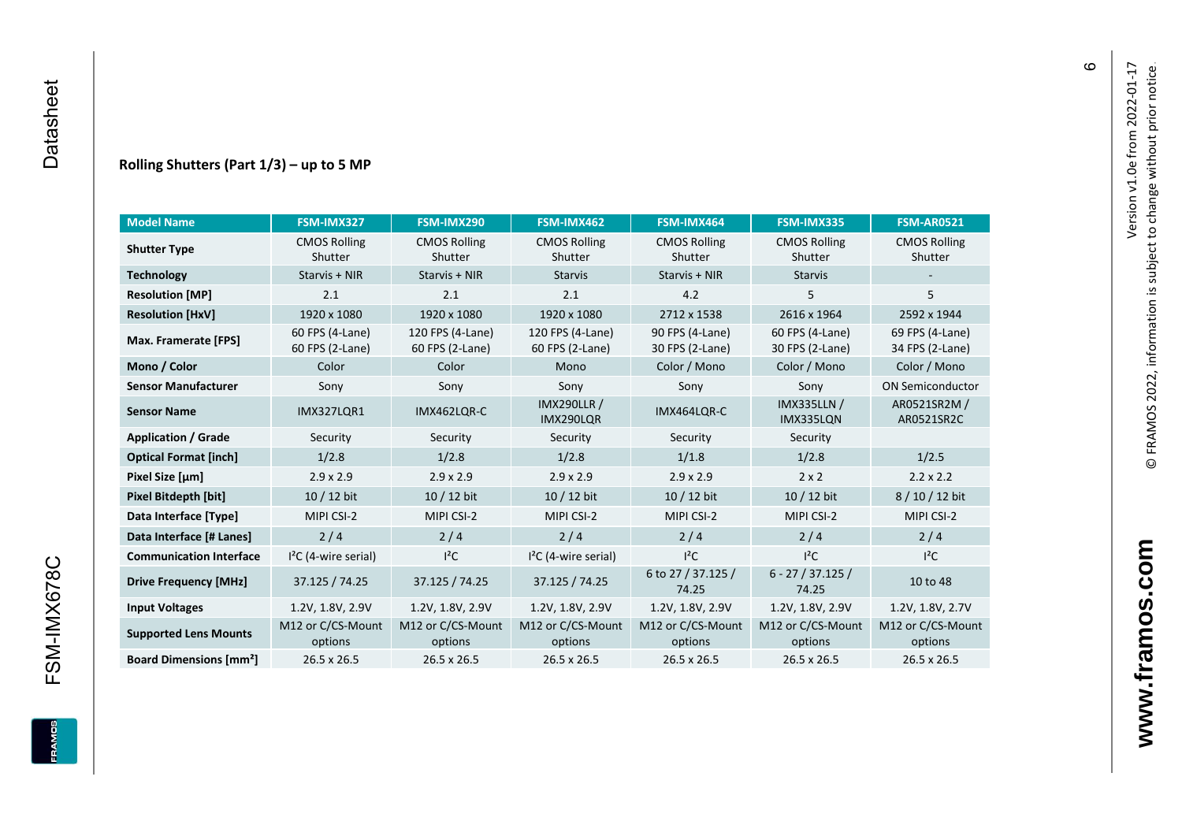#### **Rolling Shutters (Part 1/ 3 ) – up to 5 MP**

| <b>Model Name</b>                        | FSM-IMX327                         | FSM-IMX290                          | FSM-IMX462                           | FSM-IMX464                         | FSM-IMX335                         | <b>FSM-AR0521</b>                  |
|------------------------------------------|------------------------------------|-------------------------------------|--------------------------------------|------------------------------------|------------------------------------|------------------------------------|
| <b>Shutter Type</b>                      | <b>CMOS Rolling</b><br>Shutter     | <b>CMOS Rolling</b><br>Shutter      | <b>CMOS Rolling</b><br>Shutter       | <b>CMOS Rolling</b><br>Shutter     | <b>CMOS Rolling</b><br>Shutter     | <b>CMOS Rolling</b><br>Shutter     |
| <b>Technology</b>                        | Starvis + NIR                      | Starvis + NIR                       | <b>Starvis</b>                       | Starvis + NIR                      | <b>Starvis</b>                     |                                    |
| <b>Resolution [MP]</b>                   | 2.1                                | 2.1                                 | 2.1                                  | 4.2                                | 5                                  | 5                                  |
| <b>Resolution [HxV]</b>                  | 1920 x 1080                        | 1920 x 1080                         | 1920 x 1080                          | 2712 x 1538                        | 2616 x 1964                        | 2592 x 1944                        |
| Max. Framerate [FPS]                     | 60 FPS (4-Lane)<br>60 FPS (2-Lane) | 120 FPS (4-Lane)<br>60 FPS (2-Lane) | 120 FPS (4-Lane)<br>60 FPS (2-Lane)  | 90 FPS (4-Lane)<br>30 FPS (2-Lane) | 60 FPS (4-Lane)<br>30 FPS (2-Lane) | 69 FPS (4-Lane)<br>34 FPS (2-Lane) |
| Mono / Color                             | Color                              | Color                               | Mono                                 | Color / Mono                       | Color / Mono                       | Color / Mono                       |
| <b>Sensor Manufacturer</b>               | Sony                               | Sony                                | Sony                                 | Sony                               | Sony                               | <b>ON Semiconductor</b>            |
| <b>Sensor Name</b>                       | <b>IMX327LOR1</b>                  | IMX462LOR-C                         | <b>IMX290LLR /</b><br>IMX290LQR      | IMX464LQR-C                        | <b>IMX335LLN /</b><br>IMX335LQN    | AR0521SR2M /<br>AR0521SR2C         |
| <b>Application / Grade</b>               | Security                           | Security                            | Security                             | Security                           | Security                           |                                    |
| <b>Optical Format [inch]</b>             | 1/2.8                              | 1/2.8                               | 1/2.8                                | 1/1.8                              |                                    | 1/2.5                              |
| Pixel Size [µm]                          | $2.9 \times 2.9$                   | $2.9 \times 2.9$                    | $2.9 \times 2.9$<br>$2.9 \times 2.9$ |                                    | $2 \times 2$                       | $2.2 \times 2.2$                   |
| <b>Pixel Bitdepth [bit]</b>              | 10 / 12 bit                        | 10 / 12 bit                         | 10 / 12 bit<br>10 / 12 bit           |                                    | 10 / 12 bit                        | 8/10/12 bit                        |
| Data Interface [Type]                    | MIPI CSI-2                         | MIPI CSI-2                          | MIPI CSI-2                           | MIPI CSI-2                         | MIPI CSI-2                         | MIPI CSI-2                         |
| Data Interface [# Lanes]                 | 2/4                                | 2/4                                 | 2/4                                  | 2/4                                | 2/4                                | 2/4                                |
| <b>Communication Interface</b>           | $I2C$ (4-wire serial)              | $l^2C$                              | $I2C$ (4-wire serial)                | $I^2C$                             | $l^2C$                             | $l^2C$                             |
| <b>Drive Frequency [MHz]</b>             | 37.125 / 74.25                     | 37.125 / 74.25                      | 37.125 / 74.25                       | 6 to 27 / 37.125 /<br>74.25        | $6 - 27 / 37.125 /$<br>74.25       | 10 to 48                           |
| <b>Input Voltages</b>                    | 1.2V, 1.8V, 2.9V                   | 1.2V, 1.8V, 2.9V                    | 1.2V, 1.8V, 2.9V                     | 1.2V, 1.8V, 2.9V                   | 1.2V, 1.8V, 2.9V                   | 1.2V, 1.8V, 2.7V                   |
| <b>Supported Lens Mounts</b>             | M12 or C/CS-Mount<br>options       | M12 or C/CS-Mount<br>options        | M12 or C/CS-Mount<br>options         | M12 or C/CS-Mount<br>options       | M12 or C/CS-Mount<br>options       | M12 or C/CS-Mount<br>options       |
| <b>Board Dimensions [mm<sup>2</sup>]</b> | $26.5 \times 26.5$                 | $26.5 \times 26.5$                  | 26.5 x 26.5                          | $26.5 \times 26.5$                 | 26.5 x 26.5                        | 26.5 x 26.5                        |

FSM-IMX678C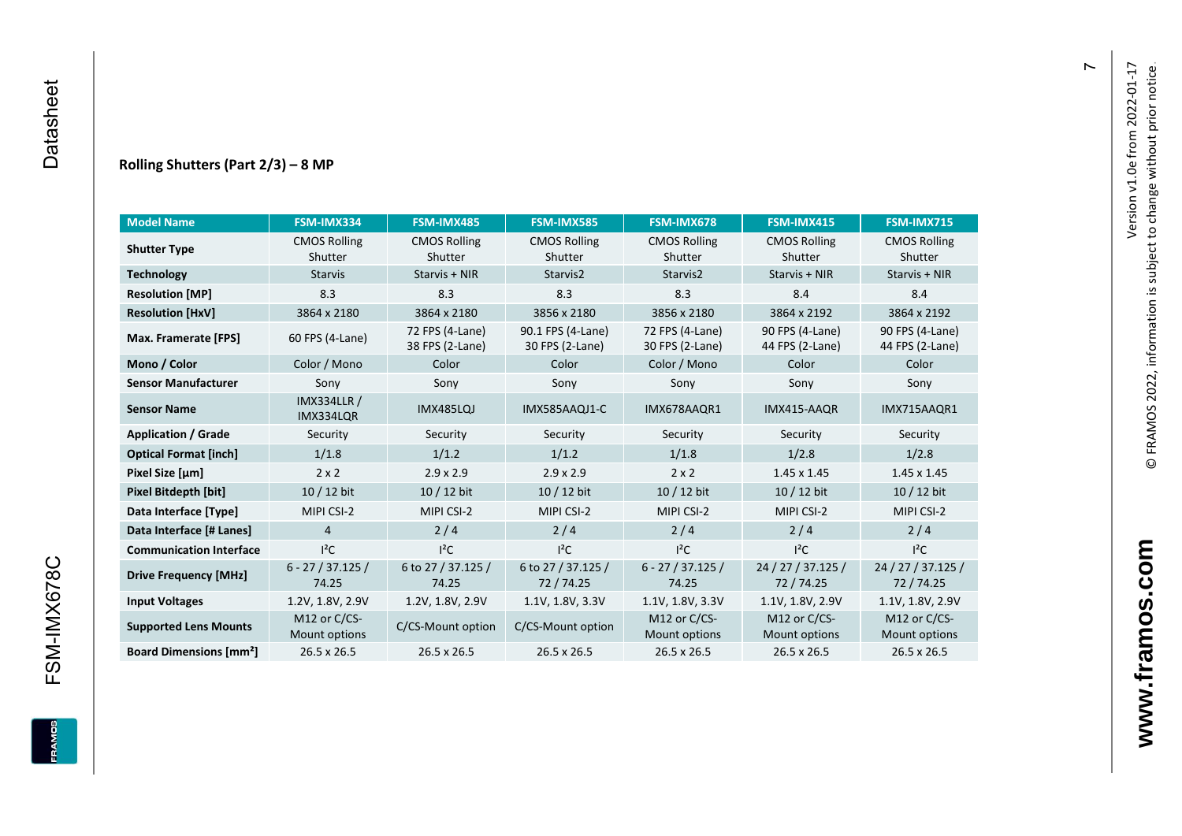#### **Rolling Shutters (Part 2/ 3 ) – 8 MP**

| <b>Model Name</b>                        | FSM-IMX334                      | FSM-IMX485                         | <b>FSM-IMX585</b>                    | FSM-IMX678                         | FSM-IMX415                         | <b>FSM-IMX715</b>                  |
|------------------------------------------|---------------------------------|------------------------------------|--------------------------------------|------------------------------------|------------------------------------|------------------------------------|
| <b>Shutter Type</b>                      | <b>CMOS Rolling</b>             | <b>CMOS Rolling</b>                | <b>CMOS Rolling</b>                  | <b>CMOS Rolling</b>                | <b>CMOS Rolling</b>                | <b>CMOS Rolling</b>                |
|                                          | Shutter                         | Shutter                            | Shutter                              | Shutter                            | Shutter                            | Shutter                            |
| <b>Technology</b>                        | <b>Starvis</b>                  | Starvis + NIR                      | Starvis2                             | Starvis2                           | Starvis + NIR                      | Starvis + NIR                      |
| <b>Resolution [MP]</b>                   | 8.3                             | 8.3                                | 8.3                                  | 8.3                                | 8.4                                | 8.4                                |
| <b>Resolution [HxV]</b>                  | 3864 x 2180                     | 3864 x 2180                        | 3856 x 2180                          | 3856 x 2180                        | 3864 x 2192                        | 3864 x 2192                        |
| Max. Framerate [FPS]                     | 60 FPS (4-Lane)                 | 72 FPS (4-Lane)<br>38 FPS (2-Lane) | 90.1 FPS (4-Lane)<br>30 FPS (2-Lane) | 72 FPS (4-Lane)<br>30 FPS (2-Lane) | 90 FPS (4-Lane)<br>44 FPS (2-Lane) | 90 FPS (4-Lane)<br>44 FPS (2-Lane) |
| Mono / Color                             | Color / Mono                    | Color                              | Color                                | Color / Mono                       | Color                              | Color                              |
| <b>Sensor Manufacturer</b>               | Sony                            | Sony                               | Sony                                 | Sony                               | Sony                               | Sony                               |
| <b>Sensor Name</b>                       | <b>IMX334LLR /</b><br>IMX334LQR | IMX485LQJ                          | IMX585AAQJ1-C                        | IMX678AAQR1                        | IMX415-AAQR                        | IMX715AAQR1                        |
| <b>Application / Grade</b>               | Security                        | Security                           | Security                             | Security                           | Security                           | Security                           |
| <b>Optical Format [inch]</b>             | 1/1.8                           | 1/1.2                              | 1/1.2                                | 1/1.8                              |                                    | 1/2.8                              |
| Pixel Size [µm]                          | $2 \times 2$                    | $2.9 \times 2.9$                   | $2.9 \times 2.9$                     | $2 \times 2$                       | $1.45 \times 1.45$                 | $1.45 \times 1.45$                 |
| <b>Pixel Bitdepth [bit]</b>              | $10/12$ bit                     | 10 / 12 bit                        | 10 / 12 bit                          | 10 / 12 bit                        | $10/12$ bit                        | $10/12$ bit                        |
| Data Interface [Type]                    | MIPI CSI-2                      | MIPI CSI-2                         | MIPI CSI-2                           | MIPI CSI-2                         | MIPI CSI-2                         | MIPI CSI-2                         |
| Data Interface [# Lanes]                 | $\overline{4}$                  | 2/4                                | 2/4                                  | 2/4                                | 2/4                                | 2/4                                |
| <b>Communication Interface</b>           | $I^2C$                          | $I^2C$                             | $I^2C$                               | $I^2C$                             | $I^2C$                             | $I^2C$                             |
| <b>Drive Frequency [MHz]</b>             | $6 - 27 / 37.125 /$<br>74.25    | 6 to 27 / 37.125 /<br>74.25        | 6 to 27 / 37.125 /<br>72/74.25       | $6 - 27 / 37.125 /$<br>74.25       | 24 / 27 / 37.125 /<br>72 / 74.25   | 24 / 27 / 37.125 /<br>72 / 74.25   |
| <b>Input Voltages</b>                    | 1.2V, 1.8V, 2.9V                | 1.2V, 1.8V, 2.9V                   | 1.1V, 1.8V, 3.3V                     | 1.1V, 1.8V, 3.3V                   | 1.1V, 1.8V, 2.9V                   | 1.1V, 1.8V, 2.9V                   |
| <b>Supported Lens Mounts</b>             | M12 or C/CS-<br>Mount options   | C/CS-Mount option                  | C/CS-Mount option                    | M12 or C/CS-<br>Mount options      | M12 or C/CS-<br>Mount options      | M12 or C/CS-<br>Mount options      |
| <b>Board Dimensions [mm<sup>2</sup>]</b> | 26.5 x 26.5                     | 26.5 x 26.5                        | 26.5 x 26.5                          | 26.5 x 26.5                        | 26.5 x 26.5                        | 26.5 x 26.5                        |

 $\overline{r}$ 

FSM-IMX678C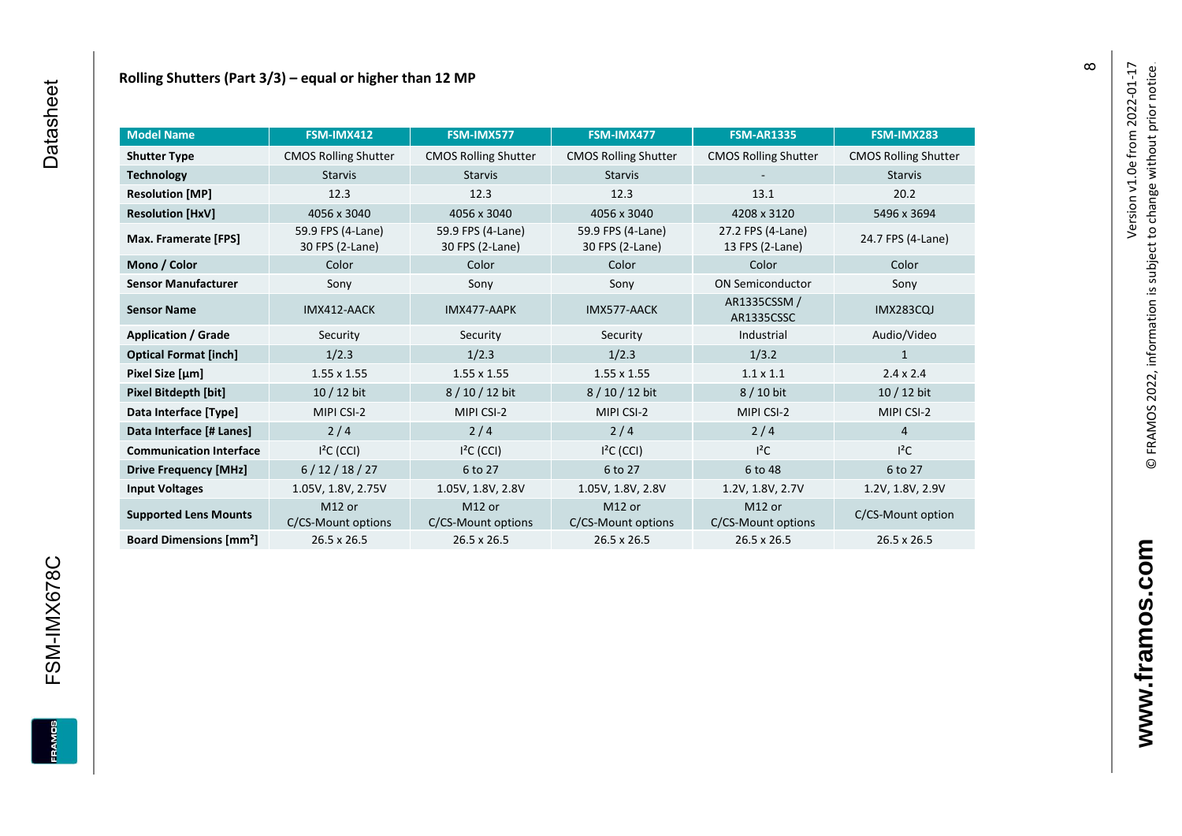| <b>Model Name</b>                        | FSM-IMX412                               | FSM-IMX577                               | FSM-IMX477                               | <b>FSM-AR1335</b>                        | FSM-IMX283                  |
|------------------------------------------|------------------------------------------|------------------------------------------|------------------------------------------|------------------------------------------|-----------------------------|
| <b>Shutter Type</b>                      | <b>CMOS Rolling Shutter</b>              | <b>CMOS Rolling Shutter</b>              | <b>CMOS Rolling Shutter</b>              | <b>CMOS Rolling Shutter</b>              | <b>CMOS Rolling Shutter</b> |
| <b>Technology</b>                        | <b>Starvis</b>                           | <b>Starvis</b>                           | <b>Starvis</b>                           |                                          | <b>Starvis</b>              |
| <b>Resolution [MP]</b>                   | 12.3                                     | 12.3                                     | 12.3                                     | 13.1                                     | 20.2                        |
| <b>Resolution [HxV]</b>                  | 4056 x 3040                              | 4056 x 3040                              | 4056 x 3040                              | 4208 x 3120                              | 5496 x 3694                 |
| Max. Framerate [FPS]                     | 59.9 FPS (4-Lane)<br>30 FPS (2-Lane)     | 59.9 FPS (4-Lane)<br>30 FPS (2-Lane)     | 59.9 FPS (4-Lane)<br>30 FPS (2-Lane)     | 27.2 FPS (4-Lane)<br>13 FPS (2-Lane)     | 24.7 FPS (4-Lane)           |
| Mono / Color                             | Color                                    | Color                                    | Color                                    | Color                                    | Color                       |
| <b>Sensor Manufacturer</b>               | Sony                                     | Sony                                     | Sony                                     | <b>ON Semiconductor</b>                  | Sony                        |
| <b>Sensor Name</b>                       | IMX412-AACK                              | IMX477-AAPK                              | IMX577-AACK                              | AR1335CSSM /<br>AR1335CSSC               | <b>IMX283CQJ</b>            |
| <b>Application / Grade</b>               | Security                                 | Security                                 | Security                                 | Industrial                               | Audio/Video                 |
| <b>Optical Format [inch]</b>             | 1/2.3                                    | 1/2.3                                    | 1/2.3                                    | 1/3.2                                    | $\mathbf{1}$                |
| Pixel Size [µm]                          | $1.55 \times 1.55$                       | $1.55 \times 1.55$                       | $1.55 \times 1.55$                       | $1.1 \times 1.1$                         | $2.4 \times 2.4$            |
| Pixel Bitdepth [bit]                     | 10 / 12 bit                              | 8/10/12 bit                              | 8 / 10 / 12 bit                          | 8 / 10 bit                               | 10 / 12 bit                 |
| Data Interface [Type]                    | MIPI CSI-2                               | MIPI CSI-2                               | MIPI CSI-2                               | MIPI CSI-2                               | MIPI CSI-2                  |
| Data Interface [# Lanes]                 | 2/4                                      | 2/4                                      | 2/4                                      | 2/4                                      | $\overline{4}$              |
| <b>Communication Interface</b>           | $I2C$ (CCI)                              | $I2C$ (CCI)                              | $I2C$ (CCI)                              | $I^2C$                                   | $I^2C$                      |
| <b>Drive Frequency [MHz]</b>             | 6/12/18/27                               | 6 to 27                                  | 6 to 27                                  | 6 to 48                                  | 6 to 27                     |
| <b>Input Voltages</b>                    | 1.05V, 1.8V, 2.75V                       | 1.05V, 1.8V, 2.8V                        | 1.05V, 1.8V, 2.8V                        | 1.2V, 1.8V, 2.7V                         | 1.2V, 1.8V, 2.9V            |
| <b>Supported Lens Mounts</b>             | M <sub>12</sub> or<br>C/CS-Mount options | M <sub>12</sub> or<br>C/CS-Mount options | M <sub>12</sub> or<br>C/CS-Mount options | M <sub>12</sub> or<br>C/CS-Mount options | C/CS-Mount option           |
| <b>Board Dimensions [mm<sup>2</sup>]</b> | 26.5 x 26.5                              | 26.5 x 26.5                              | 26.5 x 26.5                              | 26.5 x 26.5                              | 26.5 x 26.5                 |

FSM-IMX678C

FRAMOS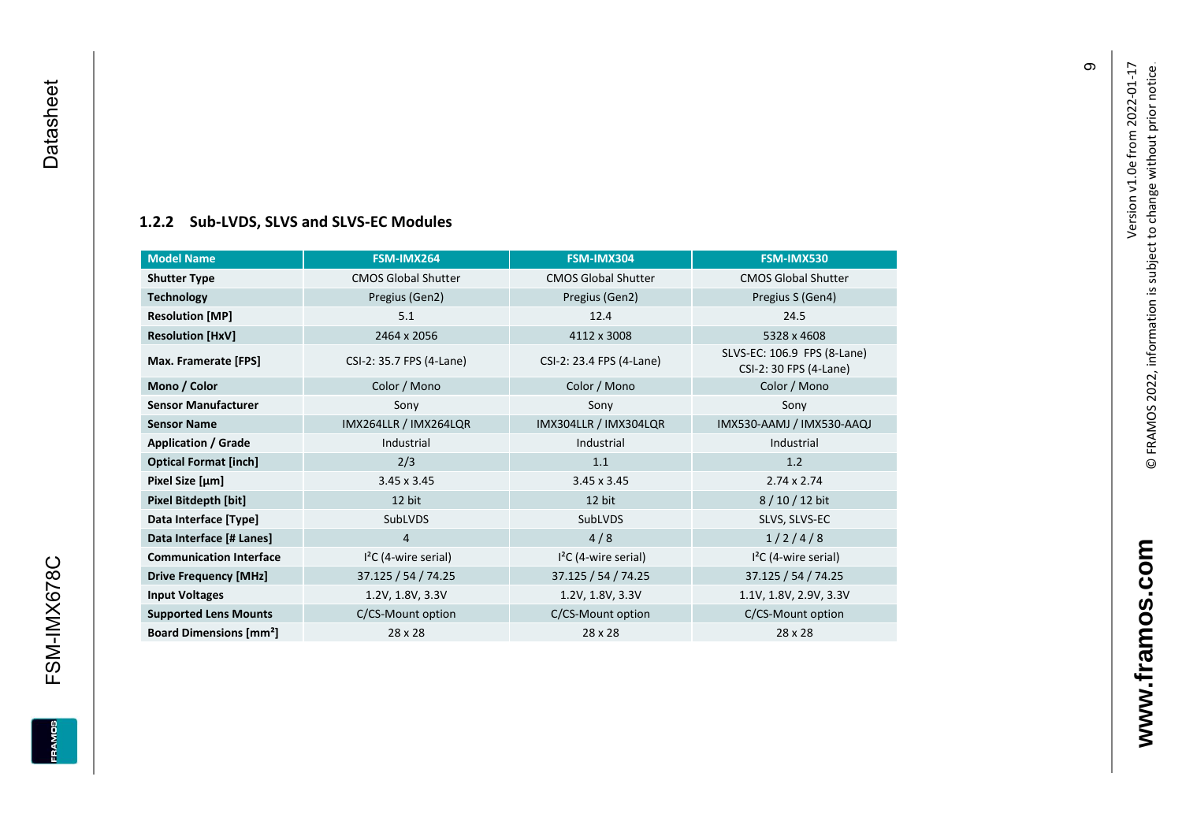### **[1.2.2](#page-0-7) Sub -LVDS, SLVS and SLVS -EC Modules**

<span id="page-10-0"></span>

| <b>Model Name</b>                        | FSM-IMX264                 | FSM-IMX304                 | FSM-IMX530                                            |
|------------------------------------------|----------------------------|----------------------------|-------------------------------------------------------|
| <b>Shutter Type</b>                      | <b>CMOS Global Shutter</b> | <b>CMOS Global Shutter</b> | <b>CMOS Global Shutter</b>                            |
| <b>Technology</b>                        | Pregius (Gen2)             | Pregius (Gen2)             | Pregius S (Gen4)                                      |
| <b>Resolution [MP]</b>                   | 5.1                        | 12.4                       | 24.5                                                  |
| <b>Resolution [HxV]</b>                  | 2464 x 2056                | 4112 x 3008                | 5328 x 4608                                           |
| Max. Framerate [FPS]                     | CSI-2: 35.7 FPS (4-Lane)   | CSI-2: 23.4 FPS (4-Lane)   | SLVS-EC: 106.9 FPS (8-Lane)<br>CSI-2: 30 FPS (4-Lane) |
| Mono / Color                             | Color / Mono               | Color / Mono               | Color / Mono                                          |
| <b>Sensor Manufacturer</b>               | Sony                       | Sony                       | Sony                                                  |
| <b>Sensor Name</b>                       | IMX264LLR / IMX264LQR      | IMX304LLR / IMX304LQR      | IMX530-AAMJ / IMX530-AAQJ                             |
| <b>Application / Grade</b>               | Industrial                 | Industrial                 | Industrial                                            |
| <b>Optical Format [inch]</b>             | 2/3                        | 1.1                        | 1.2                                                   |
| Pixel Size [µm]                          | $3.45 \times 3.45$         | $3.45 \times 3.45$         | $2.74 \times 2.74$                                    |
| Pixel Bitdepth [bit]                     | 12 bit                     | 12 bit                     | 8/10/12 bit                                           |
| Data Interface [Type]                    | SubLVDS                    | SubLVDS                    | SLVS, SLVS-EC                                         |
| Data Interface [# Lanes]                 | 4                          | 4/8                        | 1/2/4/8                                               |
| <b>Communication Interface</b>           | $I2C$ (4-wire serial)      | $I2C$ (4-wire serial)      | $I2C$ (4-wire serial)                                 |
| <b>Drive Frequency [MHz]</b>             | 37.125 / 54 / 74.25        | 37.125 / 54 / 74.25        | 37.125 / 54 / 74.25                                   |
| <b>Input Voltages</b>                    | 1.2V, 1.8V, 3.3V           | 1.2V, 1.8V, 3.3V           | 1.1V, 1.8V, 2.9V, 3.3V                                |
| <b>Supported Lens Mounts</b>             | C/CS-Mount option          | C/CS-Mount option          | C/CS-Mount option                                     |
| <b>Board Dimensions [mm<sup>2</sup>]</b> | 28 x 28                    | 28 x 28                    | 28 x 28                                               |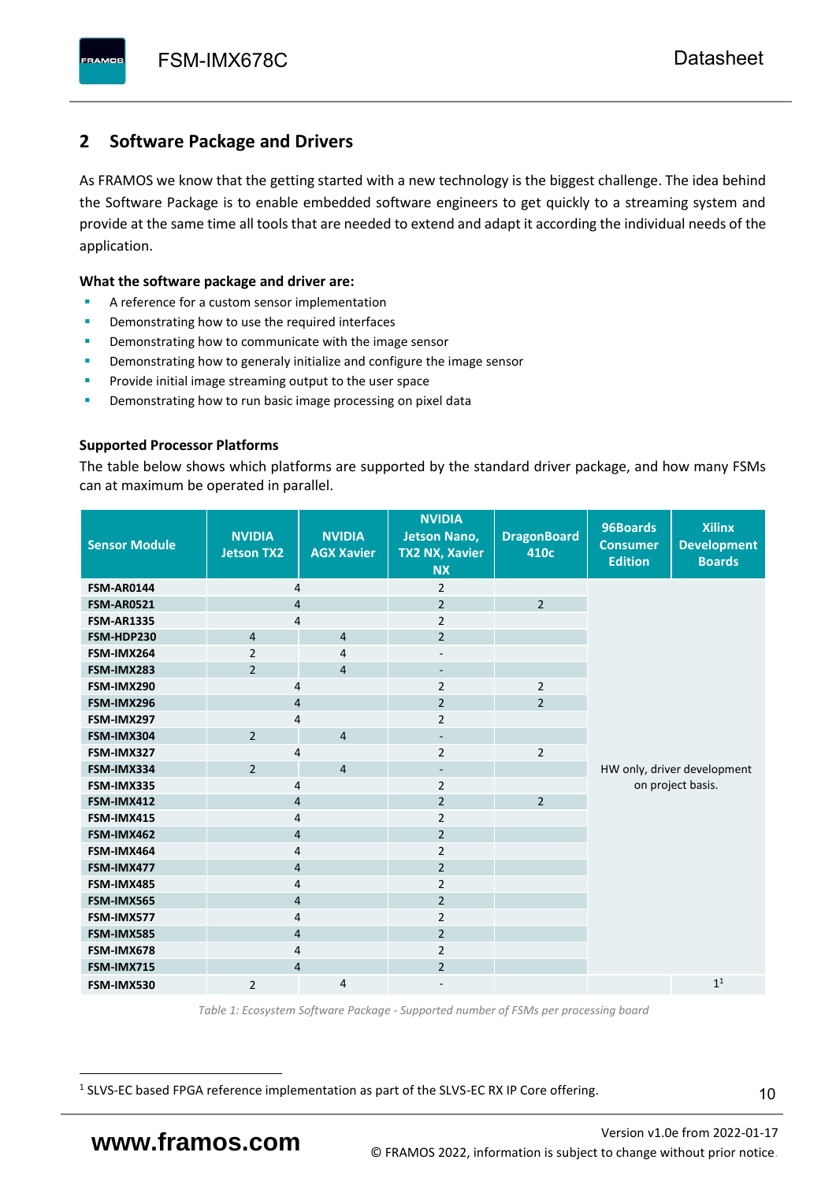# <span id="page-11-0"></span>**2 Software Package and Drivers**

As FRAMOS we know that the getting started with a new technology is the biggest challenge. The idea behind the Software Package is to enable embedded software engineers to get quickly to a streaming system and provide at the same time all tools that are needed to extend and adapt it according the individual needs of the application.

#### **What the software package and driver are:**

- A reference for a custom sensor implementation
- Demonstrating how to use the required interfaces
- Demonstrating how to communicate with the image sensor
- Demonstrating how to generaly initialize and configure the image sensor
- Provide initial image streaming output to the user space
- Demonstrating how to run basic image processing on pixel data

#### **Supported Processor Platforms**

The table below shows which platforms are supported by the standard driver package, and how many FSMs can at maximum be operated in parallel.

| <b>Sensor Module</b> | <b>NVIDIA</b><br><b>Jetson TX2</b> | <b>NVIDIA</b><br><b>AGX Xavier</b> | <b>NVIDIA</b><br><b>Jetson Nano,</b><br><b>TX2 NX, Xavier</b><br><b>NX</b> | <b>DragonBoard</b><br>410c | 96Boards<br><b>Consumer</b><br><b>Edition</b>    | <b>Xilinx</b><br><b>Development</b><br><b>Boards</b> |  |  |  |
|----------------------|------------------------------------|------------------------------------|----------------------------------------------------------------------------|----------------------------|--------------------------------------------------|------------------------------------------------------|--|--|--|
| <b>FSM-AR0144</b>    | 4                                  |                                    | $\overline{2}$                                                             |                            |                                                  |                                                      |  |  |  |
| <b>FSM-AR0521</b>    | $\overline{4}$                     |                                    | $\overline{2}$                                                             | $\overline{2}$             |                                                  |                                                      |  |  |  |
| <b>FSM-AR1335</b>    | 4                                  |                                    | $\overline{2}$                                                             |                            |                                                  |                                                      |  |  |  |
| FSM-HDP230           | $\overline{4}$                     | $\overline{4}$                     | $\overline{2}$                                                             |                            |                                                  |                                                      |  |  |  |
| FSM-IMX264           | $\overline{2}$                     | $\overline{4}$                     | $\overline{\phantom{a}}$                                                   |                            |                                                  |                                                      |  |  |  |
| FSM-IMX283           | $\overline{2}$                     | $\overline{4}$                     | $\overline{\phantom{a}}$                                                   |                            |                                                  |                                                      |  |  |  |
| FSM-IMX290           | 4                                  |                                    | $\overline{2}$                                                             | $\overline{2}$             |                                                  |                                                      |  |  |  |
| FSM-IMX296           | 4                                  |                                    | $\overline{2}$                                                             | $\overline{2}$             |                                                  |                                                      |  |  |  |
| FSM-IMX297           | 4                                  |                                    | $\overline{2}$                                                             |                            |                                                  |                                                      |  |  |  |
| FSM-IMX304           | $\overline{2}$                     | $\overline{4}$                     | $\overline{\phantom{a}}$                                                   |                            |                                                  |                                                      |  |  |  |
| FSM-IMX327           | 4                                  |                                    | $\overline{2}$                                                             | $\overline{2}$             | HW only, driver development<br>on project basis. |                                                      |  |  |  |
| FSM-IMX334           | $\overline{2}$                     | $\overline{4}$                     | $\overline{\phantom{a}}$                                                   |                            |                                                  |                                                      |  |  |  |
| FSM-IMX335           | 4                                  |                                    | $\overline{2}$                                                             |                            |                                                  |                                                      |  |  |  |
| FSM-IMX412           | $\overline{4}$                     |                                    | $\overline{2}$                                                             | $\overline{2}$             |                                                  |                                                      |  |  |  |
| FSM-IMX415           | 4                                  |                                    | $\overline{2}$                                                             |                            |                                                  |                                                      |  |  |  |
| FSM-IMX462           | $\overline{\mathbf{4}}$            |                                    | $\overline{2}$                                                             |                            |                                                  |                                                      |  |  |  |
| FSM-IMX464           | $\overline{4}$                     |                                    | $\overline{2}$                                                             |                            |                                                  |                                                      |  |  |  |
| FSM-IMX477           | $\overline{4}$                     |                                    | $\overline{2}$                                                             |                            |                                                  |                                                      |  |  |  |
| FSM-IMX485           | $\overline{4}$                     |                                    | $\overline{2}$                                                             |                            |                                                  |                                                      |  |  |  |
| FSM-IMX565           | $\overline{4}$                     |                                    | $\overline{2}$                                                             |                            |                                                  |                                                      |  |  |  |
| FSM-IMX577           | $\overline{4}$                     |                                    | $\overline{2}$                                                             |                            |                                                  |                                                      |  |  |  |
| FSM-IMX585           | $\overline{4}$                     |                                    | $\overline{2}$                                                             |                            |                                                  |                                                      |  |  |  |
| FSM-IMX678           | 4                                  |                                    | $\overline{2}$                                                             |                            |                                                  |                                                      |  |  |  |
| FSM-IMX715           | $\overline{4}$                     |                                    | $\overline{2}$                                                             |                            |                                                  |                                                      |  |  |  |
| FSM-IMX530           | $\overline{2}$                     | $\overline{4}$                     |                                                                            |                            |                                                  | 1 <sup>1</sup>                                       |  |  |  |

*Table 1: Ecosystem Software Package - Supported number of FSMs per processing board*

<sup>1</sup> SLVS-EC based FPGA reference implementation as part of the SLVS-EC RX IP Core offering.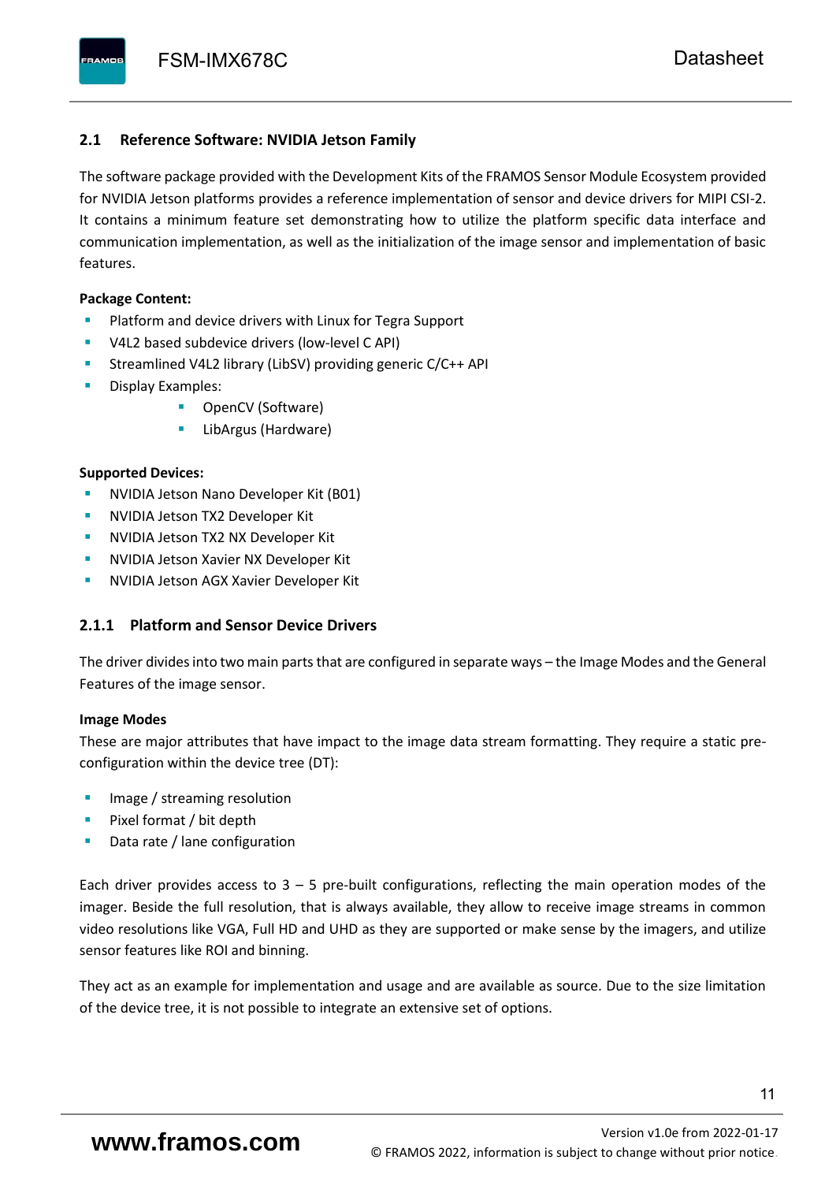### <span id="page-12-0"></span>**2.1 Reference Software: NVIDIA Jetson Family**

The software package provided with the Development Kits of the FRAMOS Sensor Module Ecosystem provided for NVIDIA Jetson platforms provides a reference implementation of sensor and device drivers for MIPI CSI-2. It contains a minimum feature set demonstrating how to utilize the platform specific data interface and communication implementation, as well as the initialization of the image sensor and implementation of basic features.

#### **Package Content:**

- Platform and device drivers with Linux for Tegra Support
- V4L2 based subdevice drivers (low-level C API)
- Streamlined V4L2 library (LibSV) providing generic C/C++ API
- Display Examples:
	- OpenCV (Software)
	- LibArgus (Hardware)

#### **Supported Devices:**

- **NVIDIA Jetson Nano Developer Kit (B01)**
- **NVIDIA Jetson TX2 Developer Kit**
- NVIDIA Jetson TX2 NX Developer Kit
- **NVIDIA Jetson Xavier NX Developer Kit**
- **NVIDIA Jetson AGX Xavier Developer Kit**

## <span id="page-12-1"></span>**2.1.1 Platform and Sensor Device Drivers**

The driver divides into two main parts that are configured in separate ways – the Image Modes and the General Features of the image sensor.

#### **Image Modes**

These are major attributes that have impact to the image data stream formatting. They require a static preconfiguration within the device tree (DT):

- Image / streaming resolution
- Pixel format / bit depth
- Data rate / lane configuration

Each driver provides access to  $3 - 5$  pre-built configurations, reflecting the main operation modes of the imager. Beside the full resolution, that is always available, they allow to receive image streams in common video resolutions like VGA, Full HD and UHD as they are supported or make sense by the imagers, and utilize sensor features like ROI and binning.

They act as an example for implementation and usage and are available as source. Due to the size limitation of the device tree, it is not possible to integrate an extensive set of options.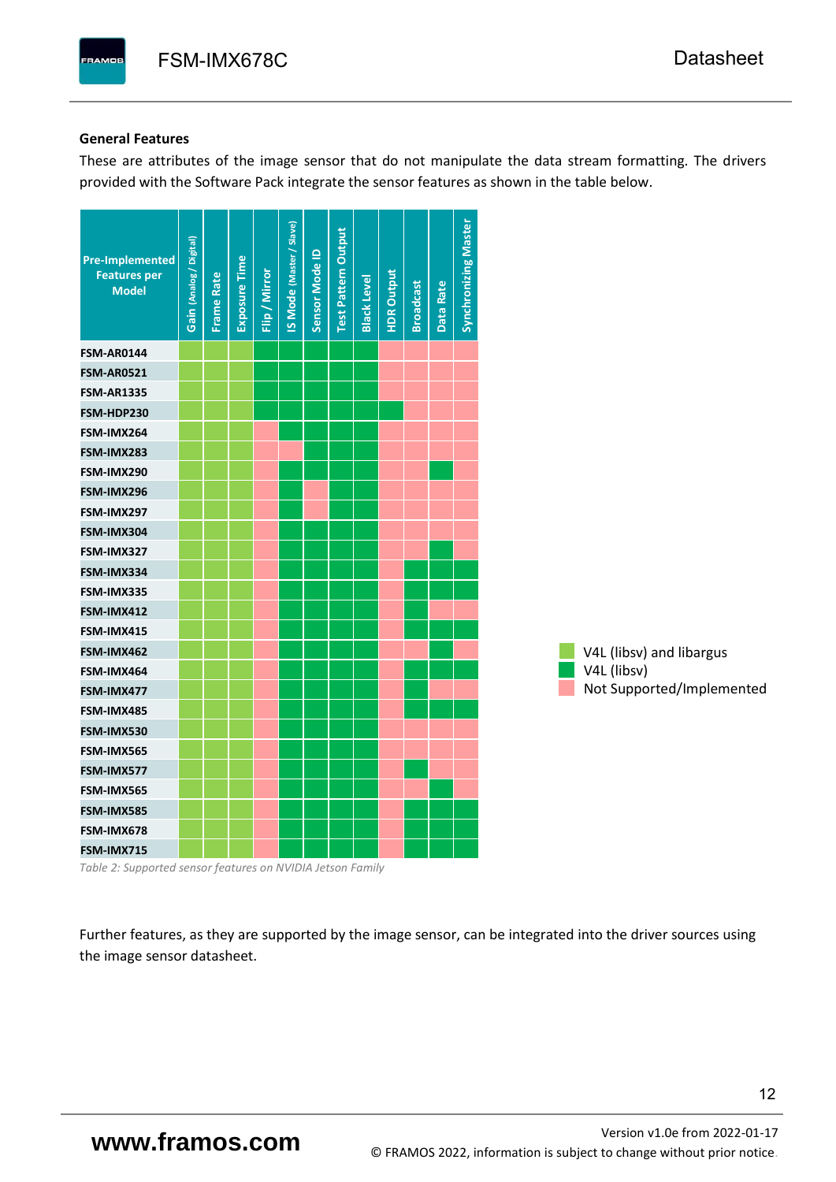#### **General Features**

These are attributes of the image sensor that do not manipulate the data stream formatting. The drivers provided with the Software Pack integrate the sensor features as shown in the table below.

| <b>Pre-Implemented</b><br><b>Features per</b><br><b>Model</b> | Gain (Analog / Digital) | <b>Frame Rate</b> | <b>Exposure Time</b> | Flip / Mirror | <b>IS Mode (Master / Slave)</b> | Sensor Mode ID | <b>Test Pattern Output</b> | <b>Black Level</b> | <b>HDR Output</b> | <b>Broadcast</b> | Data Rate | <b>Synchronizing Master</b> |                           |
|---------------------------------------------------------------|-------------------------|-------------------|----------------------|---------------|---------------------------------|----------------|----------------------------|--------------------|-------------------|------------------|-----------|-----------------------------|---------------------------|
| <b>FSM-AR0144</b>                                             |                         |                   |                      |               |                                 |                |                            |                    |                   |                  |           |                             |                           |
| <b>FSM-AR0521</b>                                             |                         |                   |                      |               |                                 |                |                            |                    |                   |                  |           |                             |                           |
| <b>FSM-AR1335</b>                                             |                         |                   |                      |               |                                 |                |                            |                    |                   |                  |           |                             |                           |
| FSM-HDP230                                                    |                         |                   |                      |               |                                 |                |                            |                    |                   |                  |           |                             |                           |
| FSM-IMX264                                                    |                         |                   |                      |               |                                 |                |                            |                    |                   |                  |           |                             |                           |
| FSM-IMX283                                                    |                         |                   |                      |               |                                 |                |                            |                    |                   |                  |           |                             |                           |
| FSM-IMX290                                                    |                         |                   |                      |               |                                 |                |                            |                    |                   |                  |           |                             |                           |
| FSM-IMX296                                                    |                         |                   |                      |               |                                 |                |                            |                    |                   |                  |           |                             |                           |
| FSM-IMX297                                                    |                         |                   |                      |               |                                 |                |                            |                    |                   |                  |           |                             |                           |
| FSM-IMX304                                                    |                         |                   |                      |               |                                 |                |                            |                    |                   |                  |           |                             |                           |
| FSM-IMX327                                                    |                         |                   |                      |               |                                 |                |                            |                    |                   |                  |           |                             |                           |
| FSM-IMX334                                                    |                         |                   |                      |               |                                 |                |                            |                    |                   |                  |           |                             |                           |
| FSM-IMX335                                                    |                         |                   |                      |               |                                 |                |                            |                    |                   |                  |           |                             |                           |
| FSM-IMX412                                                    |                         |                   |                      |               |                                 |                |                            |                    |                   |                  |           |                             |                           |
| FSM-IMX415                                                    |                         |                   |                      |               |                                 |                |                            |                    |                   |                  |           |                             |                           |
| FSM-IMX462                                                    |                         |                   |                      |               |                                 |                |                            |                    |                   |                  |           |                             | V4L (libsv) and libargus  |
| FSM-IMX464                                                    |                         |                   |                      |               |                                 |                |                            |                    |                   |                  |           |                             | V4L (libsv)               |
| FSM-IMX477                                                    |                         |                   |                      |               |                                 |                |                            |                    |                   |                  |           |                             | Not Supported/Implemented |
| FSM-IMX485                                                    |                         |                   |                      |               |                                 |                |                            |                    |                   |                  |           |                             |                           |
| FSM-IMX530                                                    |                         |                   |                      |               |                                 |                |                            |                    |                   |                  |           |                             |                           |
| FSM-IMX565                                                    |                         |                   |                      |               |                                 |                |                            |                    |                   |                  |           |                             |                           |
| FSM-IMX577                                                    |                         |                   |                      |               |                                 |                |                            |                    |                   |                  |           |                             |                           |
| FSM-IMX565                                                    |                         |                   |                      |               |                                 |                |                            |                    |                   |                  |           |                             |                           |
| FSM-IMX585                                                    |                         |                   |                      |               |                                 |                |                            |                    |                   |                  |           |                             |                           |
| FSM-IMX678                                                    |                         |                   |                      |               |                                 |                |                            |                    |                   |                  |           |                             |                           |
| FSM-IMX715                                                    |                         |                   |                      |               |                                 |                |                            |                    |                   |                  |           |                             |                           |

*Table 2: Supported sensor features on NVIDIA Jetson Family*

Further features, as they are supported by the image sensor, can be integrated into the driver sources using the image sensor datasheet.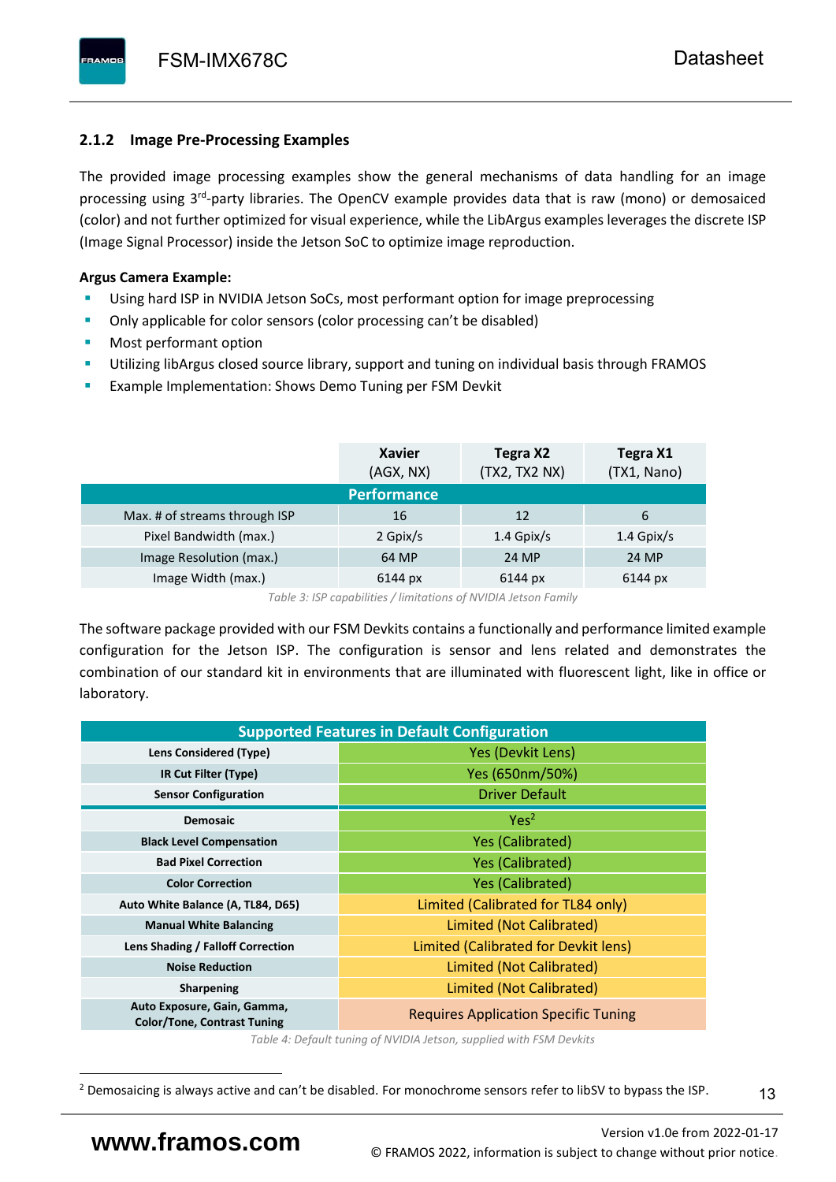# <span id="page-14-0"></span>**2.1.2 Image Pre-Processing Examples**

The provided image processing examples show the general mechanisms of data handling for an image processing using 3<sup>rd</sup>-party libraries. The OpenCV example provides data that is raw (mono) or demosaiced (color) and not further optimized for visual experience, while the LibArgus examples leverages the discrete ISP (Image Signal Processor) inside the Jetson SoC to optimize image reproduction.

# **Argus Camera Example:**

- Using hard ISP in NVIDIA Jetson SoCs, most performant option for image preprocessing
- **•** Only applicable for color sensors (color processing can't be disabled)
- Most performant option
- Utilizing libArgus closed source library, support and tuning on individual basis through FRAMOS
- Example Implementation: Shows Demo Tuning per FSM Devkit

|                               | <b>Xavier</b><br>(AGX, NX) | Tegra X2<br>(TX2, TX2 NX) | Tegra X1<br>(TX1, Nano) |
|-------------------------------|----------------------------|---------------------------|-------------------------|
|                               | <b>Performance</b>         |                           |                         |
| Max. # of streams through ISP | 16                         | 12                        | 6                       |
| Pixel Bandwidth (max.)        | 2 Gpix/s                   | $1.4$ Gpix/s              | $1.4$ Gpix/s            |
| Image Resolution (max.)       | 64 MP                      | 24 MP                     | 24 MP                   |
| Image Width (max.)            | 6144 px                    | 6144 px                   | 6144 px                 |

*Table 3: ISP capabilities / limitations of NVIDIA Jetson Family*

The software package provided with our FSM Devkits contains a functionally and performance limited example configuration for the Jetson ISP. The configuration is sensor and lens related and demonstrates the combination of our standard kit in environments that are illuminated with fluorescent light, like in office or laboratory.

|                                                                   | <b>Supported Features in Default Configuration</b> |  |  |  |  |
|-------------------------------------------------------------------|----------------------------------------------------|--|--|--|--|
| Lens Considered (Type)                                            | Yes (Devkit Lens)                                  |  |  |  |  |
| IR Cut Filter (Type)                                              | Yes (650nm/50%)                                    |  |  |  |  |
| <b>Sensor Configuration</b>                                       | <b>Driver Default</b>                              |  |  |  |  |
| <b>Demosaic</b>                                                   | Yes <sup>2</sup>                                   |  |  |  |  |
| <b>Black Level Compensation</b>                                   | <b>Yes (Calibrated)</b>                            |  |  |  |  |
| <b>Bad Pixel Correction</b>                                       | <b>Yes (Calibrated)</b>                            |  |  |  |  |
| <b>Color Correction</b>                                           | <b>Yes (Calibrated)</b>                            |  |  |  |  |
| Auto White Balance (A, TL84, D65)                                 | Limited (Calibrated for TL84 only)                 |  |  |  |  |
| <b>Manual White Balancing</b>                                     | Limited (Not Calibrated)                           |  |  |  |  |
| Lens Shading / Falloff Correction                                 | Limited (Calibrated for Devkit lens)               |  |  |  |  |
| <b>Noise Reduction</b>                                            | Limited (Not Calibrated)                           |  |  |  |  |
| Sharpening                                                        | Limited (Not Calibrated)                           |  |  |  |  |
| Auto Exposure, Gain, Gamma,<br><b>Color/Tone, Contrast Tuning</b> | <b>Requires Application Specific Tuning</b>        |  |  |  |  |

*Table 4: Default tuning of NVIDIA Jetson, supplied with FSM Devkits*

13

<sup>&</sup>lt;sup>2</sup> Demosaicing is always active and can't be disabled. For monochrome sensors refer to libSV to bypass the ISP.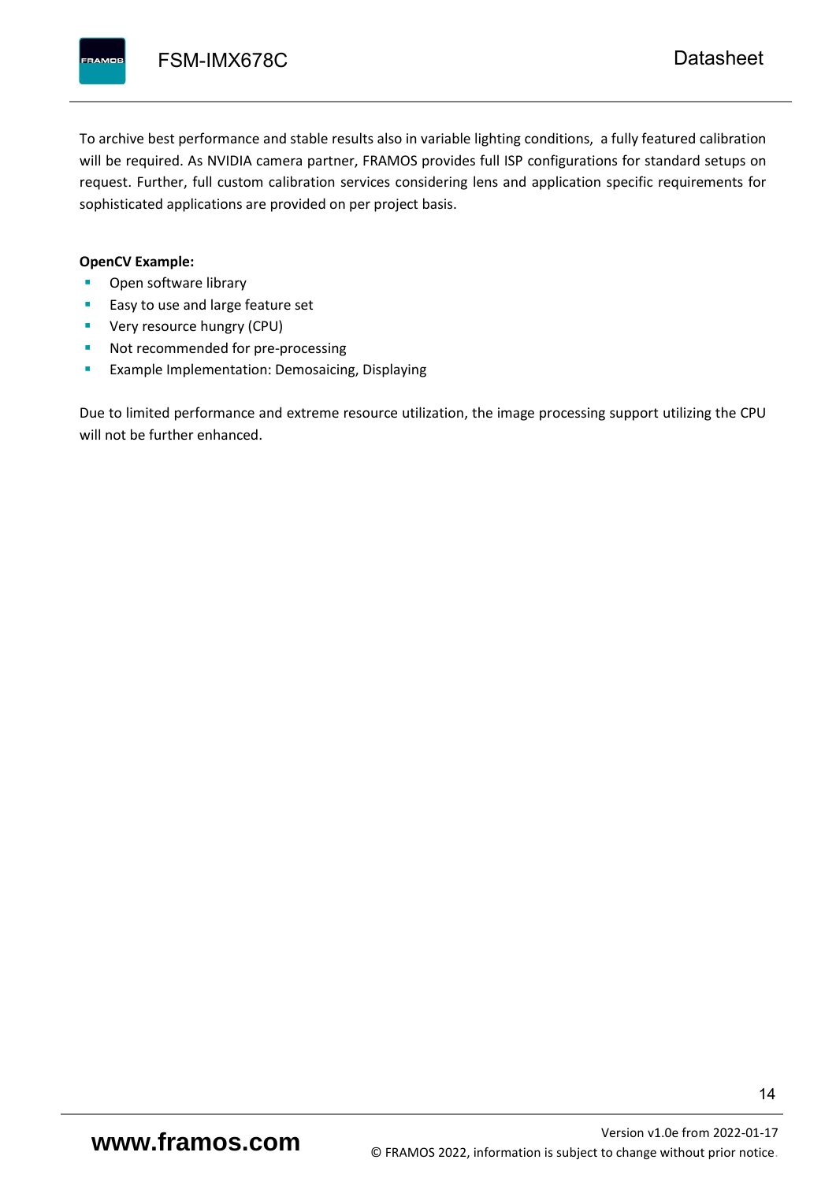To archive best performance and stable results also in variable lighting conditions, a fully featured calibration will be required. As NVIDIA camera partner, FRAMOS provides full ISP configurations for standard setups on request. Further, full custom calibration services considering lens and application specific requirements for sophisticated applications are provided on per project basis.

#### **OpenCV Example:**

- Open software library
- Easy to use and large feature set
- **•** Very resource hungry (CPU)
- Not recommended for pre-processing
- **Example Implementation: Demosaicing, Displaying**

Due to limited performance and extreme resource utilization, the image processing support utilizing the CPU will not be further enhanced.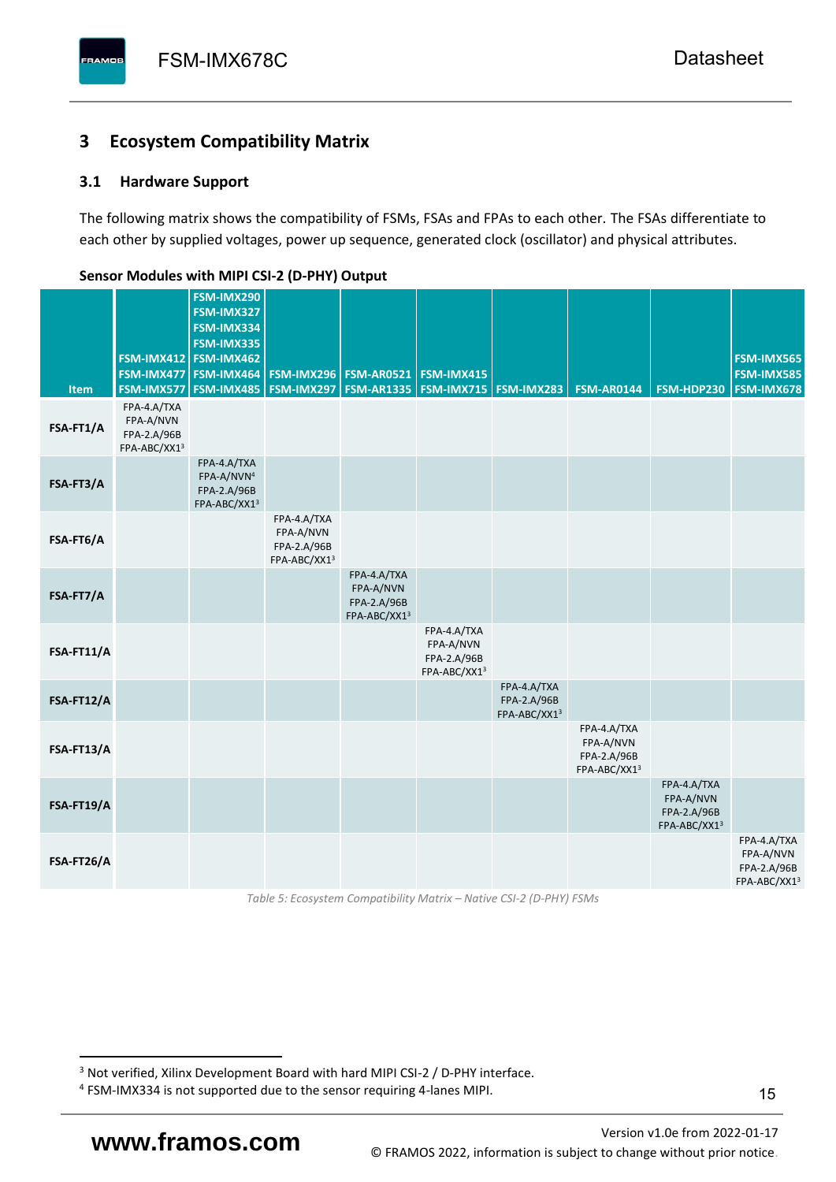# <span id="page-16-0"></span>**3 Ecosystem Compatibility Matrix**

# <span id="page-16-1"></span>**3.1 Hardware Support**

The following matrix shows the compatibility of FSMs, FSAs and FPAs to each other. The FSAs differentiate to each other by supplied voltages, power up sequence, generated clock (oscillator) and physical attributes.

| <b>Item</b> | FSM-IMX477<br>FSM-IMX577                                | FSM-IMX290<br>FSM-IMX327<br>FSM-IMX334<br>FSM-IMX335<br>FSM-IMX412 FSM-IMX462<br>FSM-IMX464<br><b>FSM-IMX485</b> | <b>FSM-IMX296</b><br>FSM-IMX297                         | <b>FSM-AR0521</b><br><b>FSM-AR1335</b>                  | FSM-IMX415<br><b>FSM-IMX715 FSM-IMX283</b>              |                                            | <b>FSM-AR0144</b>                                       | <b>FSM-HDP230</b>                                       | FSM-IMX565<br><b>FSM-IMX585</b><br>FSM-IMX678           |
|-------------|---------------------------------------------------------|------------------------------------------------------------------------------------------------------------------|---------------------------------------------------------|---------------------------------------------------------|---------------------------------------------------------|--------------------------------------------|---------------------------------------------------------|---------------------------------------------------------|---------------------------------------------------------|
| FSA-FT1/A   | FPA-4.A/TXA<br>FPA-A/NVN<br>FPA-2.A/96B<br>FPA-ABC/XX13 |                                                                                                                  |                                                         |                                                         |                                                         |                                            |                                                         |                                                         |                                                         |
| FSA-FT3/A   |                                                         | FPA-4.A/TXA<br>FPA-A/NVN <sup>4</sup><br>FPA-2.A/96B<br>FPA-ABC/XX13                                             |                                                         |                                                         |                                                         |                                            |                                                         |                                                         |                                                         |
| FSA-FT6/A   |                                                         |                                                                                                                  | FPA-4.A/TXA<br>FPA-A/NVN<br>FPA-2.A/96B<br>FPA-ABC/XX13 |                                                         |                                                         |                                            |                                                         |                                                         |                                                         |
| FSA-FT7/A   |                                                         |                                                                                                                  |                                                         | FPA-4.A/TXA<br>FPA-A/NVN<br>FPA-2.A/96B<br>FPA-ABC/XX13 |                                                         |                                            |                                                         |                                                         |                                                         |
| FSA-FT11/A  |                                                         |                                                                                                                  |                                                         |                                                         | FPA-4.A/TXA<br>FPA-A/NVN<br>FPA-2.A/96B<br>FPA-ABC/XX13 |                                            |                                                         |                                                         |                                                         |
| FSA-FT12/A  |                                                         |                                                                                                                  |                                                         |                                                         |                                                         | FPA-4.A/TXA<br>FPA-2.A/96B<br>FPA-ABC/XX13 |                                                         |                                                         |                                                         |
| FSA-FT13/A  |                                                         |                                                                                                                  |                                                         |                                                         |                                                         |                                            | FPA-4.A/TXA<br>FPA-A/NVN<br>FPA-2.A/96B<br>FPA-ABC/XX13 |                                                         |                                                         |
| FSA-FT19/A  |                                                         |                                                                                                                  |                                                         |                                                         |                                                         |                                            |                                                         | FPA-4.A/TXA<br>FPA-A/NVN<br>FPA-2.A/96B<br>FPA-ABC/XX13 |                                                         |
| FSA-FT26/A  |                                                         |                                                                                                                  |                                                         |                                                         |                                                         |                                            |                                                         |                                                         | FPA-4.A/TXA<br>FPA-A/NVN<br>FPA-2.A/96B<br>FPA-ABC/XX13 |

#### <span id="page-16-2"></span>**Sensor Modules with MIPI CSI-2 (D-PHY) Output**

*Table 5: Ecosystem Compatibility Matrix – Native CSI-2 (D-PHY) FSMs*

Versio[n v1.0e](#page-0-3) from 2022-01-17 **www.framos.com** © FRAMOS 2022, [information is subject to change without prior notice.](mailto:sales@framos.de)

<sup>&</sup>lt;sup>3</sup> Not verified, Xilinx Development Board with hard MIPI CSI-2 / D-PHY interface.

<sup>4</sup> FSM-IMX334 is not supported due to the sensor requiring 4-lanes MIPI.